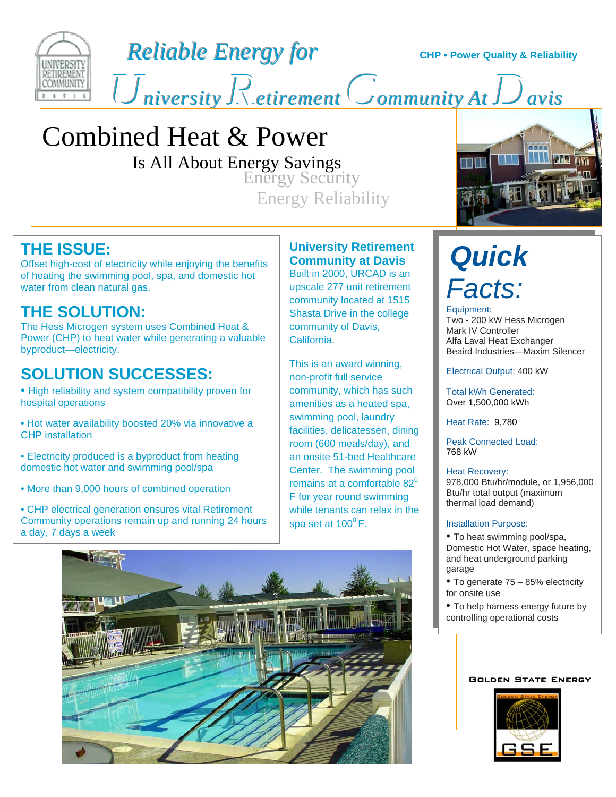

*Reliable Energy for* **CHP** • Power Quality & Reliability

 $U$  *Retirement* Community At  $D$  avisents  $\overline{U}$ 

## Combined Heat & Power

Is All About Energy Savings

**Energy Security** Energy Reliability



## **THE ISSUE:**

Offset high-cost of electricity while enjoying the benefits of heating the swimming pool, spa, and domestic hot water from clean natural gas.

## **THE SOLUTION:**

The Hess Microgen system uses Combined Heat & Power (CHP) to heat water while generating a valuable byproduct—electricity.

## **SOLUTION SUCCESSES:**

• High reliability and system compatibility proven for hospital operations

• Hot water availability boosted 20% via innovative a CHP installation

• Electricity produced is a byproduct from heating domestic hot water and swimming pool/spa

• More than 9,000 hours of combined operation

• CHP electrical generation ensures vital Retirement Community operations remain up and running 24 hours a day, 7 days a week

#### **University Retirement Community at Davis**

Built in 2000, URCAD is an upscale 277 unit retirement community located at 1515 Shasta Drive in the college community of Davis, California.

This is an award winning, non-profit full service community, which has such amenities as a heated spa, swimming pool, laundry facilities, delicatessen, dining room (600 meals/day), and an onsite 51-bed Healthcare Center. The swimming pool remains at a comfortable  $82^0$ F for year round swimming while tenants can relax in the spa set at  $100^{\circ}$  F.



# *Quick Facts:*

Equipment: Two - 200 kW Hess Microgen Mark IV Controller Alfa Laval Heat Exchanger Beaird Industries—Maxim Silencer

Electrical Output: 400 kW

Total kWh Generated: Over 1,500,000 kWh

Heat Rate: 9,780

Peak Connected Load: 768 kW

#### Heat Recovery:

978,000 Btu/hr/module, or 1,956,000 Btu/hr total output (maximum thermal load demand)

#### Installation Purpose:

- To heat swimming pool/spa, Domestic Hot Water, space heating, and heat underground parking garage
- To generate 75 85% electricity for onsite use
- To help harness energy future by controlling operational costs

#### Golden State Energy